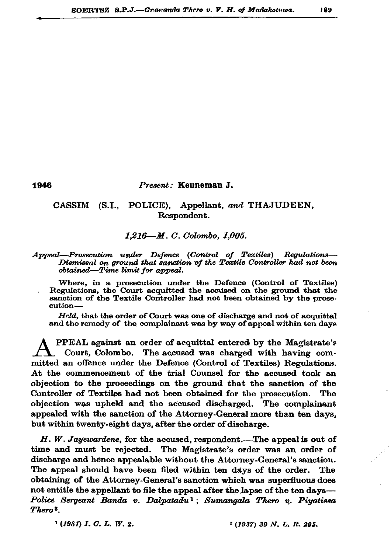## Present: Keuneman J.

## CASSIM (S.I., POLICE), Appellant, and THAJUDEEN, Respondent.

## $1.216 - M. C.$  Colombo, 1,005.

## Appeal-Prosecution under Defence (Control of Textiles) Regulations-Dismissal on ground that sanction of the Textile Controller had not been obtained—Time limit for appeal.

Where, in a prosecution under the Defence (Control of Textiles) Regulations, the Court acquitted the accused on the ground that the sanction of the Textile Controller had not been obtained by the prosecution-

Held, that the order of Court was one of discharge and not of acquittal and the remedy of the complainant was by way of appeal within ten days

PPEAL against an order of acquittal entered by the Magistrate's Court, Colombo. The accused was charged with having committed an offence under the Defence (Control of Textiles) Regulations. At the commencement of the trial Counsel for the accused took an objection to the proceedings on the ground that the sanction of the Controller of Textiles had not been obtained for the prosecution. The objection was upheld and the accused discharged. The complainant appealed with the sanction of the Attorney-General more than ten days, but within twenty-eight days, after the order of discharge.

 $H.$  W. Jayewardene, for the accused, respondent.—The appeal is out of time and must be rejected. The Magistrate's order was an order of discharge and hence appealable without the Attorney-General's sanction. The appeal should have been filed within ten days of the order. The obtaining of the Attorney-General's sanction which was superfluous does not entitle the appellant to file the appeal after the lapse of the ten days— Police Sergeant Banda v. Dalpatadu<sup>1</sup>; Sumangala Thero v. Piyatissa Thero<sup>2</sup>.

 $(1931)$  I. C. L. W. 2.